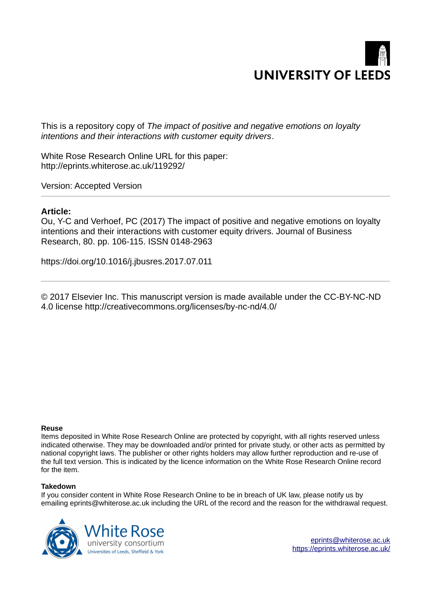

This is a repository copy of *The impact of positive and negative emotions on loyalty intentions and their interactions with customer equity drivers*.

White Rose Research Online URL for this paper: http://eprints.whiterose.ac.uk/119292/

Version: Accepted Version

# **Article:**

Ou, Y-C and Verhoef, PC (2017) The impact of positive and negative emotions on loyalty intentions and their interactions with customer equity drivers. Journal of Business Research, 80. pp. 106-115. ISSN 0148-2963

https://doi.org/10.1016/j.jbusres.2017.07.011

© 2017 Elsevier Inc. This manuscript version is made available under the CC-BY-NC-ND 4.0 license http://creativecommons.org/licenses/by-nc-nd/4.0/

#### **Reuse**

Items deposited in White Rose Research Online are protected by copyright, with all rights reserved unless indicated otherwise. They may be downloaded and/or printed for private study, or other acts as permitted by national copyright laws. The publisher or other rights holders may allow further reproduction and re-use of the full text version. This is indicated by the licence information on the White Rose Research Online record for the item.

#### **Takedown**

If you consider content in White Rose Research Online to be in breach of UK law, please notify us by emailing eprints@whiterose.ac.uk including the URL of the record and the reason for the withdrawal request.

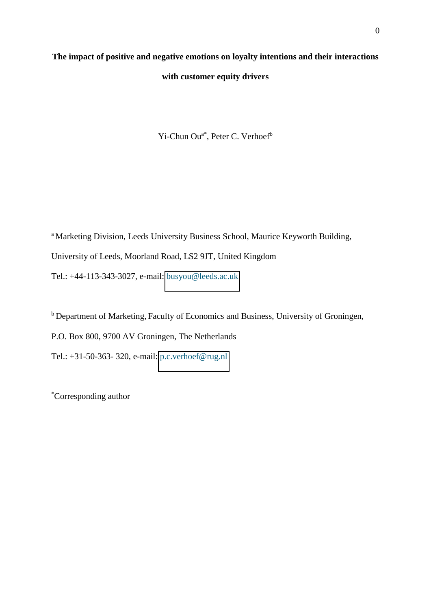# **The impact of positive and negative emotions on loyalty intentions and their interactions with customer equity drivers**

Yi-Chun Ou<sup>a\*</sup>, Peter C. Verhoef<sup>b</sup>

<sup>a</sup> Marketing Division, Leeds University Business School, Maurice Keyworth Building, University of Leeds, Moorland Road, LS2 9JT, United Kingdom Tel.: +44-113-343-3027, e-mail: [busyou@leeds.ac.uk](mailto:busyou@leeds.ac.uk)

<sup>b</sup> Department of Marketing, Faculty of Economics and Business, University of Groningen, P.O. Box 800, 9700 AV Groningen, The Netherlands Tel.: +31-50-363- 320, e-mail: [p.c.verhoef@rug.nl](mailto:p.c.verhoef@rug.nl) 

\*Corresponding author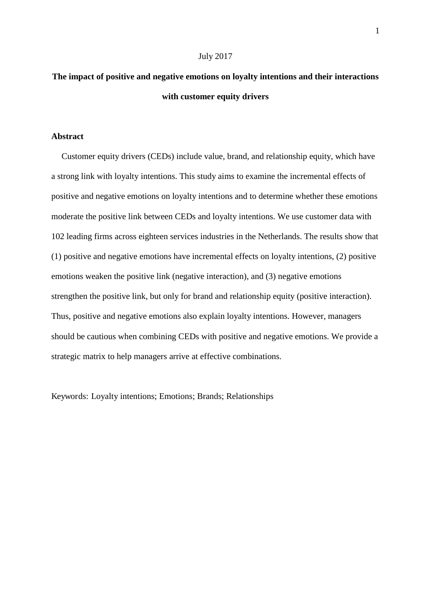#### July 2017

# **The impact of positive and negative emotions on loyalty intentions and their interactions with customer equity drivers**

# **Abstract**

Customer equity drivers (CEDs) include value, brand, and relationship equity, which have a strong link with loyalty intentions. This study aims to examine the incremental effects of positive and negative emotions on loyalty intentions and to determine whether these emotions moderate the positive link between CEDs and loyalty intentions. We use customer data with 102 leading firms across eighteen services industries in the Netherlands. The results show that (1) positive and negative emotions have incremental effects on loyalty intentions, (2) positive emotions weaken the positive link (negative interaction), and (3) negative emotions strengthen the positive link, but only for brand and relationship equity (positive interaction). Thus, positive and negative emotions also explain loyalty intentions. However, managers should be cautious when combining CEDs with positive and negative emotions. We provide a strategic matrix to help managers arrive at effective combinations.

Keywords: Loyalty intentions; Emotions; Brands; Relationships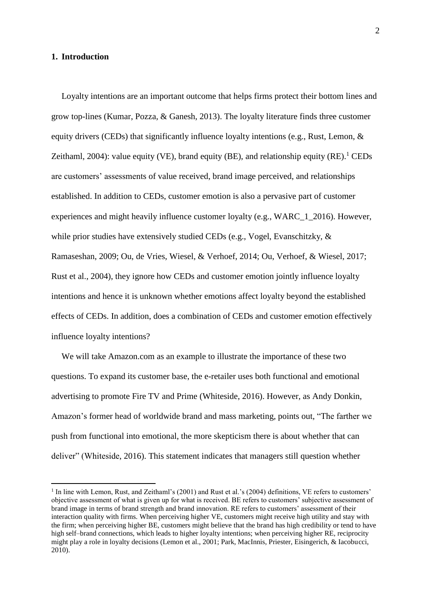# **1. Introduction**

 $\overline{a}$ 

Loyalty intentions are an important outcome that helps firms protect their bottom lines and grow top-lines (Kumar, Pozza, & Ganesh, 2013). The loyalty literature finds three customer equity drivers (CEDs) that significantly influence loyalty intentions (e.g., Rust, Lemon,  $\&$ Zeithaml, 2004): value equity (VE), brand equity (BE), and relationship equity  $(RE)^1$ . CEDs are customers' assessments of value received, brand image perceived, and relationships established. In addition to CEDs, customer emotion is also a pervasive part of customer experiences and might heavily influence customer loyalty (e.g., WARC\_1\_2016). However, while prior studies have extensively studied CEDs (e.g., Vogel, Evanschitzky, & Ramaseshan, 2009; Ou, de Vries, Wiesel, & Verhoef, 2014; Ou, Verhoef, & Wiesel, 2017; Rust et al., 2004), they ignore how CEDs and customer emotion jointly influence loyalty intentions and hence it is unknown whether emotions affect loyalty beyond the established effects of CEDs. In addition, does a combination of CEDs and customer emotion effectively influence loyalty intentions?

We will take Amazon.com as an example to illustrate the importance of these two questions. To expand its customer base, the e-retailer uses both functional and emotional advertising to promote Fire TV and Prime (Whiteside, 2016). However, as Andy Donkin, Amazon's former head of worldwide brand and mass marketing, points out, "The farther we push from functional into emotional, the more skepticism there is about whether that can deliver" (Whiteside, 2016). This statement indicates that managers still question whether

<sup>&</sup>lt;sup>1</sup> In line with Lemon, Rust, and Zeithaml's (2001) and Rust et al.'s (2004) definitions, VE refers to customers' objective assessment of what is given up for what is received. BE refers to customers' subjective assessment of brand image in terms of brand strength and brand innovation. RE refers to customers' assessment of their interaction quality with firms. When perceiving higher VE, customers might receive high utility and stay with the firm; when perceiving higher BE, customers might believe that the brand has high credibility or tend to have high self–brand connections, which leads to higher loyalty intentions; when perceiving higher RE, reciprocity might play a role in loyalty decisions (Lemon et al., 2001; Park, MacInnis, Priester, Eisingerich, & Iacobucci, 2010).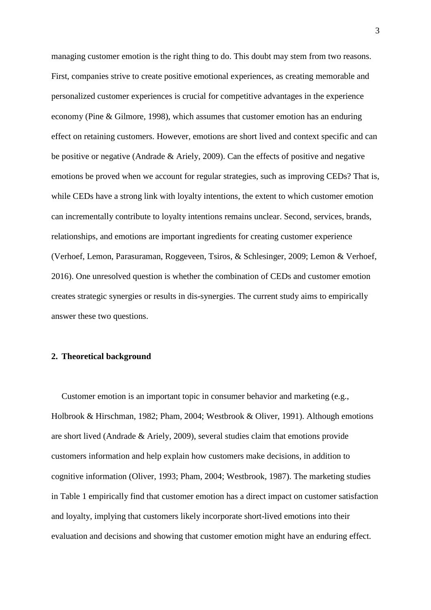managing customer emotion is the right thing to do. This doubt may stem from two reasons. First, companies strive to create positive emotional experiences, as creating memorable and personalized customer experiences is crucial for competitive advantages in the experience economy (Pine & Gilmore, 1998), which assumes that customer emotion has an enduring effect on retaining customers. However, emotions are short lived and context specific and can be positive or negative (Andrade & Ariely, 2009). Can the effects of positive and negative emotions be proved when we account for regular strategies, such as improving CEDs? That is, while CEDs have a strong link with loyalty intentions, the extent to which customer emotion can incrementally contribute to loyalty intentions remains unclear. Second, services, brands, relationships, and emotions are important ingredients for creating customer experience (Verhoef, Lemon, Parasuraman, Roggeveen, Tsiros, & Schlesinger, 2009; Lemon & Verhoef, 2016). One unresolved question is whether the combination of CEDs and customer emotion creates strategic synergies or results in dis-synergies. The current study aims to empirically answer these two questions.

# **2. Theoretical background**

Customer emotion is an important topic in consumer behavior and marketing (e.g., Holbrook & Hirschman, 1982; Pham, 2004; Westbrook & Oliver, 1991). Although emotions are short lived (Andrade & Ariely, 2009), several studies claim that emotions provide customers information and help explain how customers make decisions, in addition to cognitive information (Oliver, 1993; Pham, 2004; Westbrook, 1987). The marketing studies in Table 1 empirically find that customer emotion has a direct impact on customer satisfaction and loyalty, implying that customers likely incorporate short-lived emotions into their evaluation and decisions and showing that customer emotion might have an enduring effect.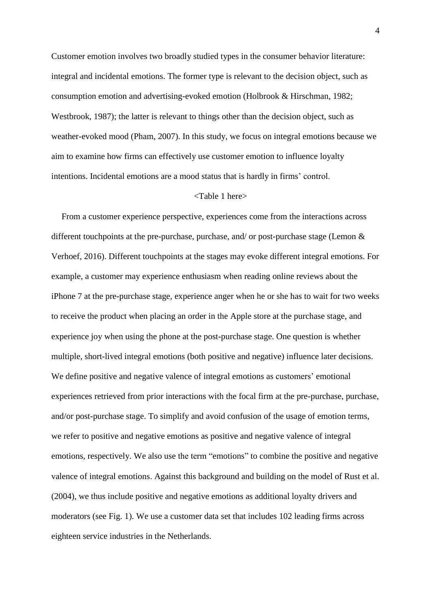Customer emotion involves two broadly studied types in the consumer behavior literature: integral and incidental emotions. The former type is relevant to the decision object, such as consumption emotion and advertising-evoked emotion (Holbrook & Hirschman, 1982; Westbrook, 1987); the latter is relevant to things other than the decision object, such as weather-evoked mood (Pham, 2007). In this study, we focus on integral emotions because we aim to examine how firms can effectively use customer emotion to influence loyalty intentions. Incidental emotions are a mood status that is hardly in firms' control.

# <Table 1 here>

From a customer experience perspective, experiences come from the interactions across different touchpoints at the pre-purchase, purchase, and/ or post-purchase stage (Lemon & Verhoef, 2016). Different touchpoints at the stages may evoke different integral emotions. For example, a customer may experience enthusiasm when reading online reviews about the iPhone 7 at the pre-purchase stage, experience anger when he or she has to wait for two weeks to receive the product when placing an order in the Apple store at the purchase stage, and experience joy when using the phone at the post-purchase stage. One question is whether multiple, short-lived integral emotions (both positive and negative) influence later decisions. We define positive and negative valence of integral emotions as customers' emotional experiences retrieved from prior interactions with the focal firm at the pre-purchase, purchase, and/or post-purchase stage. To simplify and avoid confusion of the usage of emotion terms, we refer to positive and negative emotions as positive and negative valence of integral emotions, respectively. We also use the term "emotions" to combine the positive and negative valence of integral emotions. Against this background and building on the model of Rust et al. (2004), we thus include positive and negative emotions as additional loyalty drivers and moderators (see Fig. 1). We use a customer data set that includes 102 leading firms across eighteen service industries in the Netherlands.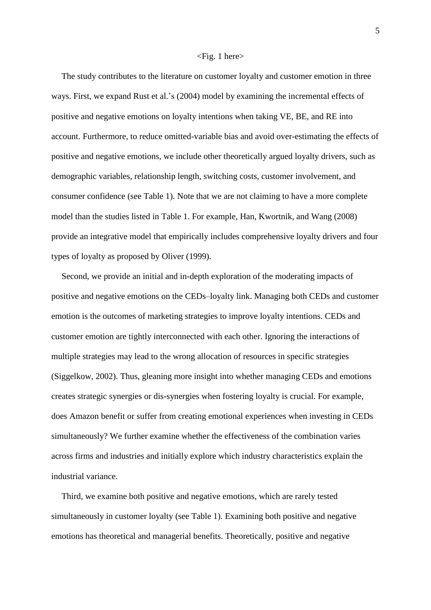#### <Fig. 1 here>

The study contributes to the literature on customer loyalty and customer emotion in three ways. First, we expand Rust et al.'s (2004) model by examining the incremental effects of positive and negative emotions on loyalty intentions when taking VE, BE, and RE into account. Furthermore, to reduce omitted-variable bias and avoid over-estimating the effects of positive and negative emotions, we include other theoretically argued loyalty drivers, such as demographic variables, relationship length, switching costs, customer involvement, and consumer confidence (see Table 1). Note that we are not claiming to have a more complete model than the studies listed in Table 1. For example, Han, Kwortnik, and Wang (2008) provide an integrative model that empirically includes comprehensive loyalty drivers and four types of loyalty as proposed by Oliver (1999).

Second, we provide an initial and in-depth exploration of the moderating impacts of positive and negative emotions on the CEDs–loyalty link. Managing both CEDs and customer emotion is the outcomes of marketing strategies to improve loyalty intentions. CEDs and customer emotion are tightly interconnected with each other. Ignoring the interactions of multiple strategies may lead to the wrong allocation of resources in specific strategies (Siggelkow, 2002). Thus, gleaning more insight into whether managing CEDs and emotions creates strategic synergies or dis-synergies when fostering loyalty is crucial. For example, does Amazon benefit or suffer from creating emotional experiences when investing in CEDs simultaneously? We further examine whether the effectiveness of the combination varies across firms and industries and initially explore which industry characteristics explain the industrial variance.

Third, we examine both positive and negative emotions, which are rarely tested simultaneously in customer loyalty (see Table 1). Examining both positive and negative emotions has theoretical and managerial benefits. Theoretically, positive and negative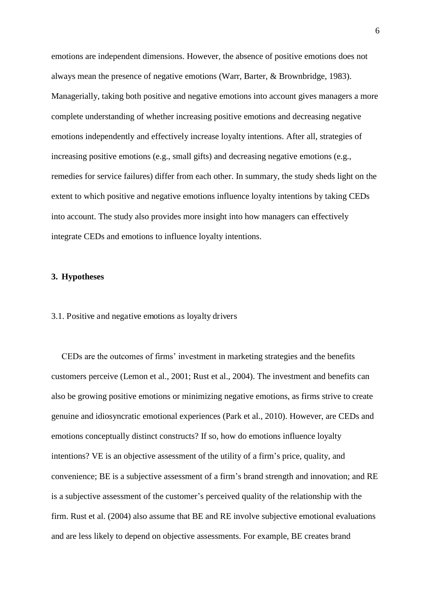emotions are independent dimensions. However, the absence of positive emotions does not always mean the presence of negative emotions (Warr, Barter, & Brownbridge, 1983). Managerially, taking both positive and negative emotions into account gives managers a more complete understanding of whether increasing positive emotions and decreasing negative emotions independently and effectively increase loyalty intentions. After all, strategies of increasing positive emotions (e.g., small gifts) and decreasing negative emotions (e.g., remedies for service failures) differ from each other. In summary, the study sheds light on the extent to which positive and negative emotions influence loyalty intentions by taking CEDs into account. The study also provides more insight into how managers can effectively integrate CEDs and emotions to influence loyalty intentions.

## **3. Hypotheses**

#### 3.1. Positive and negative emotions as loyalty drivers

CEDs are the outcomes of firms' investment in marketing strategies and the benefits customers perceive (Lemon et al., 2001; Rust et al., 2004). The investment and benefits can also be growing positive emotions or minimizing negative emotions, as firms strive to create genuine and idiosyncratic emotional experiences (Park et al., 2010). However, are CEDs and emotions conceptually distinct constructs? If so, how do emotions influence loyalty intentions? VE is an objective assessment of the utility of a firm's price, quality, and convenience; BE is a subjective assessment of a firm's brand strength and innovation; and RE is a subjective assessment of the customer's perceived quality of the relationship with the firm. Rust et al. (2004) also assume that BE and RE involve subjective emotional evaluations and are less likely to depend on objective assessments. For example, BE creates brand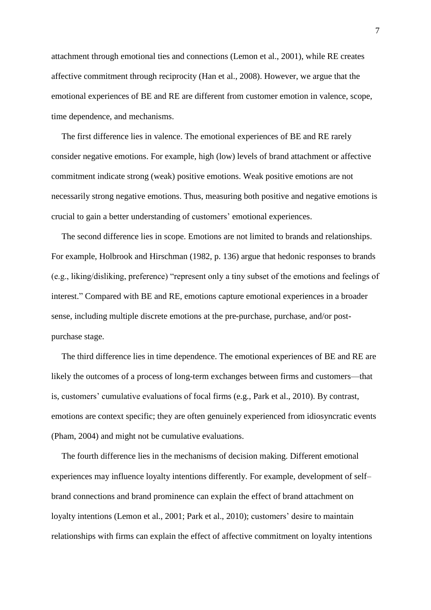attachment through emotional ties and connections (Lemon et al., 2001), while RE creates affective commitment through reciprocity (Han et al., 2008). However, we argue that the emotional experiences of BE and RE are different from customer emotion in valence, scope, time dependence, and mechanisms.

The first difference lies in valence. The emotional experiences of BE and RE rarely consider negative emotions. For example, high (low) levels of brand attachment or affective commitment indicate strong (weak) positive emotions. Weak positive emotions are not necessarily strong negative emotions. Thus, measuring both positive and negative emotions is crucial to gain a better understanding of customers' emotional experiences.

The second difference lies in scope. Emotions are not limited to brands and relationships. For example, Holbrook and Hirschman (1982, p. 136) argue that hedonic responses to brands (e.g., liking/disliking, preference) "represent only a tiny subset of the emotions and feelings of interest." Compared with BE and RE, emotions capture emotional experiences in a broader sense, including multiple discrete emotions at the pre-purchase, purchase, and/or postpurchase stage.

The third difference lies in time dependence. The emotional experiences of BE and RE are likely the outcomes of a process of long-term exchanges between firms and customers—that is, customers' cumulative evaluations of focal firms (e.g., Park et al., 2010). By contrast, emotions are context specific; they are often genuinely experienced from idiosyncratic events (Pham, 2004) and might not be cumulative evaluations.

The fourth difference lies in the mechanisms of decision making. Different emotional experiences may influence loyalty intentions differently. For example, development of self– brand connections and brand prominence can explain the effect of brand attachment on loyalty intentions (Lemon et al., 2001; Park et al., 2010); customers' desire to maintain relationships with firms can explain the effect of affective commitment on loyalty intentions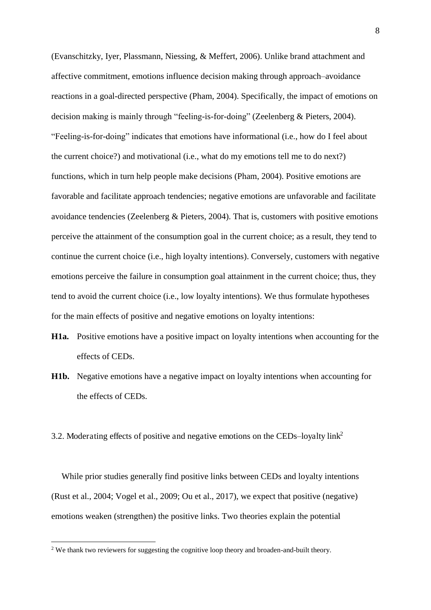(Evanschitzky, Iyer, Plassmann, Niessing, & Meffert, 2006). Unlike brand attachment and affective commitment, emotions influence decision making through approach–avoidance reactions in a goal-directed perspective (Pham, 2004). Specifically, the impact of emotions on decision making is mainly through "feeling-is-for-doing" (Zeelenberg & Pieters, 2004). "Feeling-is-for-doing" indicates that emotions have informational (i.e., how do I feel about the current choice?) and motivational (i.e., what do my emotions tell me to do next?) functions, which in turn help people make decisions (Pham, 2004). Positive emotions are favorable and facilitate approach tendencies; negative emotions are unfavorable and facilitate avoidance tendencies (Zeelenberg & Pieters, 2004). That is, customers with positive emotions perceive the attainment of the consumption goal in the current choice; as a result, they tend to continue the current choice (i.e., high loyalty intentions). Conversely, customers with negative emotions perceive the failure in consumption goal attainment in the current choice; thus, they tend to avoid the current choice (i.e., low loyalty intentions). We thus formulate hypotheses for the main effects of positive and negative emotions on loyalty intentions:

- **H1a.** Positive emotions have a positive impact on loyalty intentions when accounting for the effects of CEDs.
- **H1b.** Negative emotions have a negative impact on loyalty intentions when accounting for the effects of CEDs.
- 3.2. Moderating effects of positive and negative emotions on the CEDs*–*loyalty link<sup>2</sup>

While prior studies generally find positive links between CEDs and loyalty intentions (Rust et al., 2004; Vogel et al., 2009; Ou et al., 2017), we expect that positive (negative) emotions weaken (strengthen) the positive links. Two theories explain the potential

 $\overline{a}$ 

 $2$  We thank two reviewers for suggesting the cognitive loop theory and broaden-and-built theory.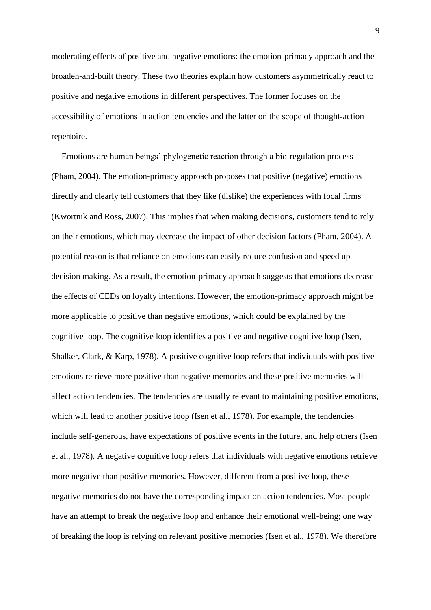moderating effects of positive and negative emotions: the emotion-primacy approach and the broaden-and-built theory. These two theories explain how customers asymmetrically react to positive and negative emotions in different perspectives. The former focuses on the accessibility of emotions in action tendencies and the latter on the scope of thought-action repertoire.

Emotions are human beings' phylogenetic reaction through a bio-regulation process (Pham, 2004). The emotion-primacy approach proposes that positive (negative) emotions directly and clearly tell customers that they like (dislike) the experiences with focal firms (Kwortnik and Ross, 2007). This implies that when making decisions, customers tend to rely on their emotions, which may decrease the impact of other decision factors (Pham, 2004). A potential reason is that reliance on emotions can easily reduce confusion and speed up decision making. As a result, the emotion-primacy approach suggests that emotions decrease the effects of CEDs on loyalty intentions. However, the emotion-primacy approach might be more applicable to positive than negative emotions, which could be explained by the cognitive loop. The cognitive loop identifies a positive and negative cognitive loop (Isen, Shalker, Clark, & Karp, 1978). A positive cognitive loop refers that individuals with positive emotions retrieve more positive than negative memories and these positive memories will affect action tendencies. The tendencies are usually relevant to maintaining positive emotions, which will lead to another positive loop (Isen et al., 1978). For example, the tendencies include self-generous, have expectations of positive events in the future, and help others (Isen et al., 1978). A negative cognitive loop refers that individuals with negative emotions retrieve more negative than positive memories. However, different from a positive loop, these negative memories do not have the corresponding impact on action tendencies. Most people have an attempt to break the negative loop and enhance their emotional well-being; one way of breaking the loop is relying on relevant positive memories (Isen et al., 1978). We therefore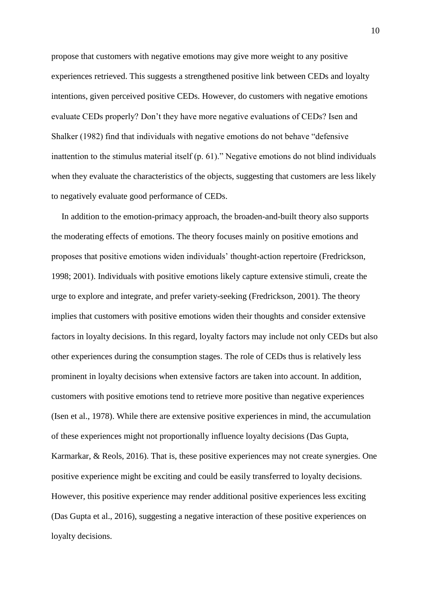propose that customers with negative emotions may give more weight to any positive experiences retrieved. This suggests a strengthened positive link between CEDs and loyalty intentions, given perceived positive CEDs. However, do customers with negative emotions evaluate CEDs properly? Don't they have more negative evaluations of CEDs? Isen and Shalker (1982) find that individuals with negative emotions do not behave "defensive inattention to the stimulus material itself (p. 61)." Negative emotions do not blind individuals when they evaluate the characteristics of the objects, suggesting that customers are less likely to negatively evaluate good performance of CEDs.

In addition to the emotion-primacy approach, the broaden-and-built theory also supports the moderating effects of emotions. The theory focuses mainly on positive emotions and proposes that positive emotions widen individuals' thought-action repertoire (Fredrickson, 1998; 2001). Individuals with positive emotions likely capture extensive stimuli, create the urge to explore and integrate, and prefer variety-seeking (Fredrickson, 2001). The theory implies that customers with positive emotions widen their thoughts and consider extensive factors in loyalty decisions. In this regard, loyalty factors may include not only CEDs but also other experiences during the consumption stages. The role of CEDs thus is relatively less prominent in loyalty decisions when extensive factors are taken into account. In addition, customers with positive emotions tend to retrieve more positive than negative experiences (Isen et al., 1978). While there are extensive positive experiences in mind, the accumulation of these experiences might not proportionally influence loyalty decisions (Das Gupta, Karmarkar, & Reols, 2016). That is, these positive experiences may not create synergies. One positive experience might be exciting and could be easily transferred to loyalty decisions. However, this positive experience may render additional positive experiences less exciting (Das Gupta et al., 2016), suggesting a negative interaction of these positive experiences on loyalty decisions.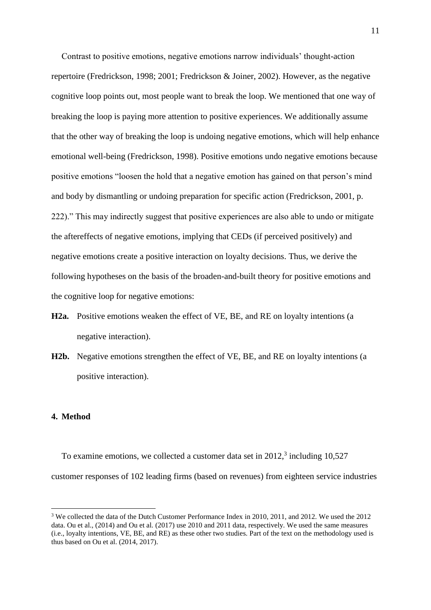Contrast to positive emotions, negative emotions narrow individuals' thought-action repertoire (Fredrickson, 1998; 2001; Fredrickson & Joiner, 2002). However, as the negative cognitive loop points out, most people want to break the loop. We mentioned that one way of breaking the loop is paying more attention to positive experiences. We additionally assume that the other way of breaking the loop is undoing negative emotions, which will help enhance emotional well-being (Fredrickson, 1998). Positive emotions undo negative emotions because positive emotions "loosen the hold that a negative emotion has gained on that person's mind and body by dismantling or undoing preparation for specific action (Fredrickson, 2001, p. 222)." This may indirectly suggest that positive experiences are also able to undo or mitigate the aftereffects of negative emotions, implying that CEDs (if perceived positively) and negative emotions create a positive interaction on loyalty decisions. Thus, we derive the following hypotheses on the basis of the broaden-and-built theory for positive emotions and the cognitive loop for negative emotions:

- **H2a.** Positive emotions weaken the effect of VE, BE, and RE on loyalty intentions (a negative interaction).
- **H2b.** Negative emotions strengthen the effect of VE, BE, and RE on loyalty intentions (a positive interaction).

#### **4. Method**

 $\overline{a}$ 

To examine emotions, we collected a customer data set in  $2012$ ,<sup>3</sup> including  $10,527$ customer responses of 102 leading firms (based on revenues) from eighteen service industries

<sup>&</sup>lt;sup>3</sup> We collected the data of the Dutch Customer Performance Index in 2010, 2011, and 2012. We used the 2012 data. Ou et al., (2014) and Ou et al. (2017) use 2010 and 2011 data, respectively. We used the same measures (i.e., loyalty intentions, VE, BE, and RE) as these other two studies. Part of the text on the methodology used is thus based on Ou et al. (2014, 2017).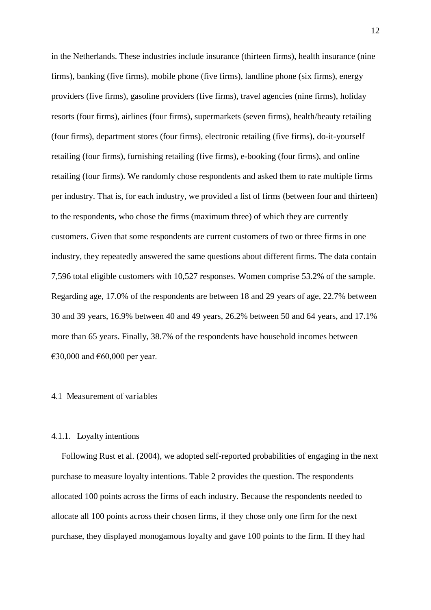in the Netherlands. These industries include insurance (thirteen firms), health insurance (nine firms), banking (five firms), mobile phone (five firms), landline phone (six firms), energy providers (five firms), gasoline providers (five firms), travel agencies (nine firms), holiday resorts (four firms), airlines (four firms), supermarkets (seven firms), health/beauty retailing (four firms), department stores (four firms), electronic retailing (five firms), do-it-yourself retailing (four firms), furnishing retailing (five firms), e-booking (four firms), and online retailing (four firms). We randomly chose respondents and asked them to rate multiple firms per industry. That is, for each industry, we provided a list of firms (between four and thirteen) to the respondents, who chose the firms (maximum three) of which they are currently customers. Given that some respondents are current customers of two or three firms in one industry, they repeatedly answered the same questions about different firms. The data contain 7,596 total eligible customers with 10,527 responses. Women comprise 53.2% of the sample. Regarding age, 17.0% of the respondents are between 18 and 29 years of age, 22.7% between 30 and 39 years, 16.9% between 40 and 49 years, 26.2% between 50 and 64 years, and 17.1% more than 65 years. Finally, 38.7% of the respondents have household incomes between €30,000 and  $€60,000$  per year.

#### 4.1 Measurement of variables

# 4.1.1. Loyalty intentions

Following Rust et al. (2004), we adopted self-reported probabilities of engaging in the next purchase to measure loyalty intentions. Table 2 provides the question. The respondents allocated 100 points across the firms of each industry. Because the respondents needed to allocate all 100 points across their chosen firms, if they chose only one firm for the next purchase, they displayed monogamous loyalty and gave 100 points to the firm. If they had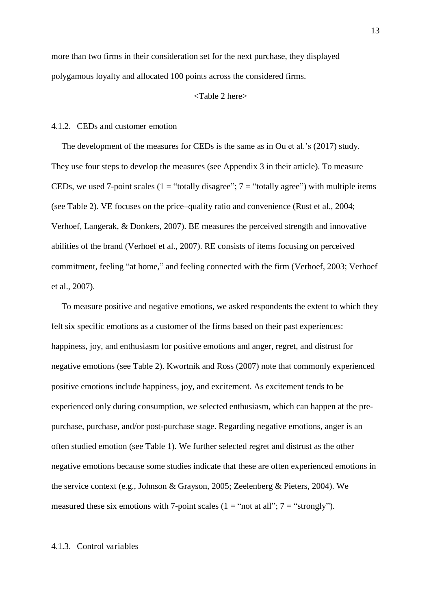more than two firms in their consideration set for the next purchase, they displayed polygamous loyalty and allocated 100 points across the considered firms.

#### <Table 2 here>

# 4.1.2. CEDs and customer emotion

The development of the measures for CEDs is the same as in Ou et al.'s (2017) study. They use four steps to develop the measures (see Appendix 3 in their article). To measure CEDs, we used 7-point scales (1 = "totally disagree";  $7 =$  "totally agree") with multiple items (see Table 2). VE focuses on the price–quality ratio and convenience (Rust et al., 2004; Verhoef, Langerak, & Donkers, 2007). BE measures the perceived strength and innovative abilities of the brand (Verhoef et al., 2007). RE consists of items focusing on perceived commitment, feeling "at home," and feeling connected with the firm (Verhoef, 2003; Verhoef et al., 2007).

To measure positive and negative emotions, we asked respondents the extent to which they felt six specific emotions as a customer of the firms based on their past experiences: happiness, joy, and enthusiasm for positive emotions and anger, regret, and distrust for negative emotions (see Table 2). Kwortnik and Ross (2007) note that commonly experienced positive emotions include happiness, joy, and excitement. As excitement tends to be experienced only during consumption, we selected enthusiasm, which can happen at the prepurchase, purchase, and/or post-purchase stage. Regarding negative emotions, anger is an often studied emotion (see Table 1). We further selected regret and distrust as the other negative emotions because some studies indicate that these are often experienced emotions in the service context (e.g., Johnson & Grayson, 2005; Zeelenberg & Pieters, 2004). We measured these six emotions with 7-point scales  $(1 = "not at all"; 7 = "strongly").$ 

#### 4.1.3. Control variables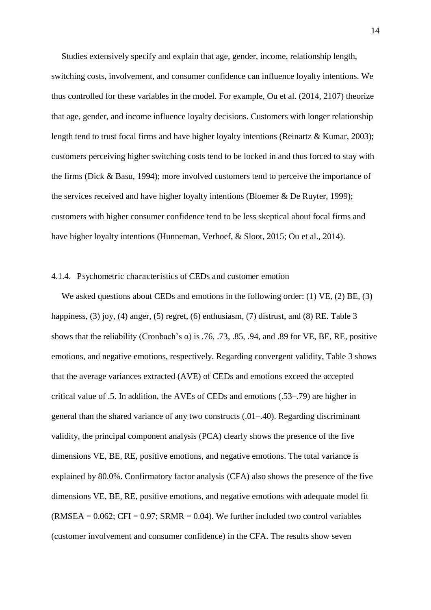Studies extensively specify and explain that age, gender, income, relationship length, switching costs, involvement, and consumer confidence can influence loyalty intentions. We thus controlled for these variables in the model. For example, Ou et al. (2014, 2107) theorize that age, gender, and income influence loyalty decisions. Customers with longer relationship length tend to trust focal firms and have higher loyalty intentions (Reinartz & Kumar, 2003); customers perceiving higher switching costs tend to be locked in and thus forced to stay with the firms (Dick & Basu, 1994); more involved customers tend to perceive the importance of the services received and have higher loyalty intentions (Bloemer & De Ruyter, 1999); customers with higher consumer confidence tend to be less skeptical about focal firms and have higher loyalty intentions (Hunneman, Verhoef, & Sloot, 2015; Ou et al., 2014).

# 4.1.4. Psychometric characteristics of CEDs and customer emotion

We asked questions about CEDs and emotions in the following order: (1) VE, (2) BE, (3) happiness, (3) joy, (4) anger, (5) regret, (6) enthusiasm, (7) distrust, and (8) RE. Table 3 shows that the reliability (Cronbach's  $\alpha$ ) is .76, .73, .85, .94, and .89 for VE, BE, RE, positive emotions, and negative emotions, respectively. Regarding convergent validity, Table 3 shows that the average variances extracted (AVE) of CEDs and emotions exceed the accepted critical value of .5. In addition, the AVEs of CEDs and emotions (.53–.79) are higher in general than the shared variance of any two constructs (.01–.40). Regarding discriminant validity, the principal component analysis (PCA) clearly shows the presence of the five dimensions VE, BE, RE, positive emotions, and negative emotions. The total variance is explained by 80.0%. Confirmatory factor analysis (CFA) also shows the presence of the five dimensions VE, BE, RE, positive emotions, and negative emotions with adequate model fit  $(RMSEA = 0.062; CFI = 0.97; SRMR = 0.04$ . We further included two control variables (customer involvement and consumer confidence) in the CFA. The results show seven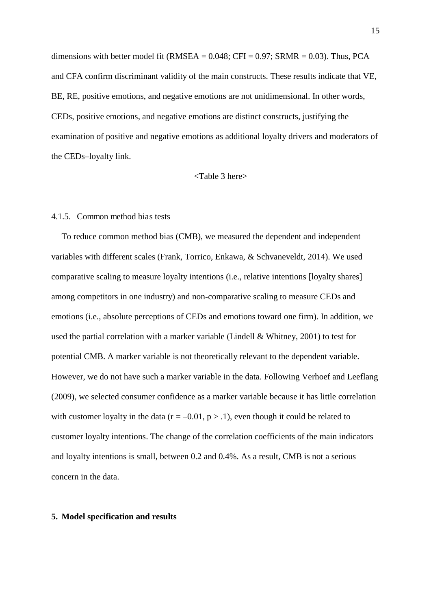dimensions with better model fit (RMSEA =  $0.048$ ; CFI =  $0.97$ ; SRMR =  $0.03$ ). Thus, PCA and CFA confirm discriminant validity of the main constructs. These results indicate that VE, BE, RE, positive emotions, and negative emotions are not unidimensional. In other words, CEDs, positive emotions, and negative emotions are distinct constructs, justifying the examination of positive and negative emotions as additional loyalty drivers and moderators of the CEDs–loyalty link.

#### <Table 3 here>

#### 4.1.5. Common method bias tests

To reduce common method bias (CMB), we measured the dependent and independent variables with different scales (Frank, Torrico, Enkawa, & Schvaneveldt, 2014). We used comparative scaling to measure loyalty intentions (i.e., relative intentions [loyalty shares] among competitors in one industry) and non-comparative scaling to measure CEDs and emotions (i.e., absolute perceptions of CEDs and emotions toward one firm). In addition, we used the partial correlation with a marker variable (Lindell & Whitney, 2001) to test for potential CMB. A marker variable is not theoretically relevant to the dependent variable. However, we do not have such a marker variable in the data. Following Verhoef and Leeflang (2009), we selected consumer confidence as a marker variable because it has little correlation with customer loyalty in the data ( $r = -0.01$ ,  $p > 0.1$ ), even though it could be related to customer loyalty intentions. The change of the correlation coefficients of the main indicators and loyalty intentions is small, between 0.2 and 0.4%. As a result, CMB is not a serious concern in the data.

### **5. Model specification and results**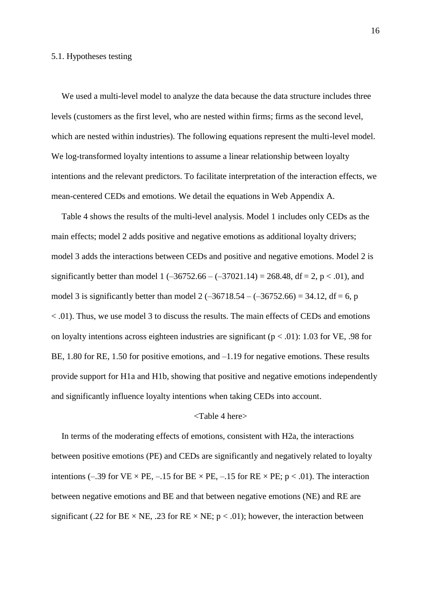## 5.1. Hypotheses testing

We used a multi-level model to analyze the data because the data structure includes three levels (customers as the first level, who are nested within firms; firms as the second level, which are nested within industries). The following equations represent the multi-level model. We log-transformed loyalty intentions to assume a linear relationship between loyalty intentions and the relevant predictors. To facilitate interpretation of the interaction effects, we mean-centered CEDs and emotions. We detail the equations in Web Appendix A.

Table 4 shows the results of the multi-level analysis. Model 1 includes only CEDs as the main effects; model 2 adds positive and negative emotions as additional loyalty drivers; model 3 adds the interactions between CEDs and positive and negative emotions. Model 2 is significantly better than model 1  $(-36752.66 - (-37021.14) = 268.48$ , df = 2, p < .01), and model 3 is significantly better than model 2  $(-36718.54 - (-36752.66) = 34.12$ , df = 6, p < .01). Thus, we use model 3 to discuss the results. The main effects of CEDs and emotions on loyalty intentions across eighteen industries are significant ( $p < .01$ ): 1.03 for VE, .98 for BE, 1.80 for RE, 1.50 for positive emotions, and  $-1.19$  for negative emotions. These results provide support for H1a and H1b, showing that positive and negative emotions independently and significantly influence loyalty intentions when taking CEDs into account.

## <Table 4 here>

In terms of the moderating effects of emotions, consistent with H2a, the interactions between positive emotions (PE) and CEDs are significantly and negatively related to loyalty intentions (–.39 for VE  $\times$  PE, –.15 for BE  $\times$  PE, –.15 for RE  $\times$  PE; p < .01). The interaction between negative emotions and BE and that between negative emotions (NE) and RE are significant (.22 for BE  $\times$  NE, .23 for RE  $\times$  NE; p  $<$  .01); however, the interaction between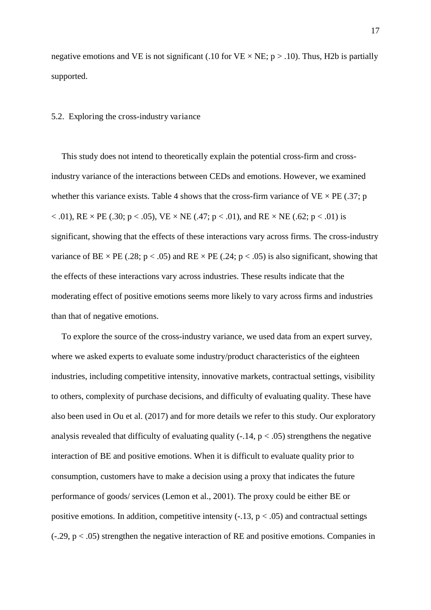negative emotions and VE is not significant (.10 for VE  $\times$  NE; p  $>$  .10). Thus, H2b is partially supported.

## 5.2. Exploring the cross-industry variance

This study does not intend to theoretically explain the potential cross-firm and crossindustry variance of the interactions between CEDs and emotions. However, we examined whether this variance exists. Table 4 shows that the cross-firm variance of  $VE \times PE$  (.37; p < .01), RE  $\times$  PE (.30; p < .05), VE  $\times$  NE (.47; p < .01), and RE  $\times$  NE (.62; p < .01) is significant, showing that the effects of these interactions vary across firms. The cross-industry variance of BE  $\times$  PE (.28; p < .05) and RE  $\times$  PE (.24; p < .05) is also significant, showing that the effects of these interactions vary across industries. These results indicate that the moderating effect of positive emotions seems more likely to vary across firms and industries than that of negative emotions.

To explore the source of the cross-industry variance, we used data from an expert survey, where we asked experts to evaluate some industry/product characteristics of the eighteen industries, including competitive intensity, innovative markets, contractual settings, visibility to others, complexity of purchase decisions, and difficulty of evaluating quality. These have also been used in Ou et al. (2017) and for more details we refer to this study. Our exploratory analysis revealed that difficulty of evaluating quality  $(-.14, p < .05)$  strengthens the negative interaction of BE and positive emotions. When it is difficult to evaluate quality prior to consumption, customers have to make a decision using a proxy that indicates the future performance of goods/ services (Lemon et al., 2001). The proxy could be either BE or positive emotions. In addition, competitive intensity  $(-.13, p < .05)$  and contractual settings  $(-.29, p < .05)$  strengthen the negative interaction of RE and positive emotions. Companies in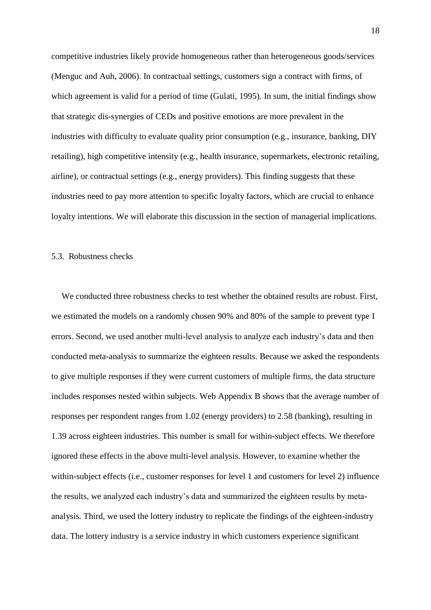competitive industries likely provide homogeneous rather than heterogeneous goods/services (Menguc and Auh, 2006). In contractual settings, customers sign a contract with firms, of which agreement is valid for a period of time (Gulati, 1995). In sum, the initial findings show that strategic dis-synergies of CEDs and positive emotions are more prevalent in the industries with difficulty to evaluate quality prior consumption (e.g., insurance, banking, DIY retailing), high competitive intensity (e.g., health insurance, supermarkets, electronic retailing, airline), or contractual settings (e.g., energy providers). This finding suggests that these industries need to pay more attention to specific loyalty factors, which are crucial to enhance loyalty intentions. We will elaborate this discussion in the section of managerial implications.

#### 5.3. Robustness checks

We conducted three robustness checks to test whether the obtained results are robust. First, we estimated the models on a randomly chosen 90% and 80% of the sample to prevent type I errors. Second, we used another multi-level analysis to analyze each industry's data and then conducted meta-analysis to summarize the eighteen results. Because we asked the respondents to give multiple responses if they were current customers of multiple firms, the data structure includes responses nested within subjects. Web Appendix B shows that the average number of responses per respondent ranges from 1.02 (energy providers) to 2.58 (banking), resulting in 1.39 across eighteen industries. This number is small for within-subject effects. We therefore ignored these effects in the above multi-level analysis. However, to examine whether the within-subject effects (i.e., customer responses for level 1 and customers for level 2) influence the results, we analyzed each industry's data and summarized the eighteen results by metaanalysis. Third, we used the lottery industry to replicate the findings of the eighteen-industry data. The lottery industry is a service industry in which customers experience significant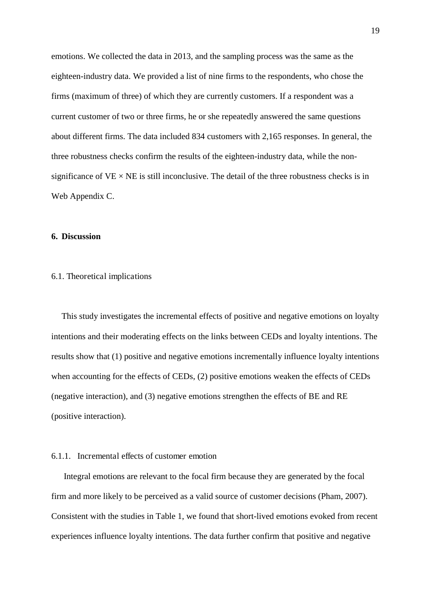emotions. We collected the data in 2013, and the sampling process was the same as the eighteen-industry data. We provided a list of nine firms to the respondents, who chose the firms (maximum of three) of which they are currently customers. If a respondent was a current customer of two or three firms, he or she repeatedly answered the same questions about different firms. The data included 834 customers with 2,165 responses. In general, the three robustness checks confirm the results of the eighteen-industry data, while the nonsignificance of  $VE \times NE$  is still inconclusive. The detail of the three robustness checks is in Web Appendix C.

# **6. Discussion**

# 6.1. Theoretical implications

This study investigates the incremental effects of positive and negative emotions on loyalty intentions and their moderating effects on the links between CEDs and loyalty intentions. The results show that (1) positive and negative emotions incrementally influence loyalty intentions when accounting for the effects of CEDs, (2) positive emotions weaken the effects of CEDs (negative interaction), and (3) negative emotions strengthen the effects of BE and RE (positive interaction).

# 6.1.1. Incremental effects of customer emotion

 Integral emotions are relevant to the focal firm because they are generated by the focal firm and more likely to be perceived as a valid source of customer decisions (Pham, 2007). Consistent with the studies in Table 1, we found that short-lived emotions evoked from recent experiences influence loyalty intentions. The data further confirm that positive and negative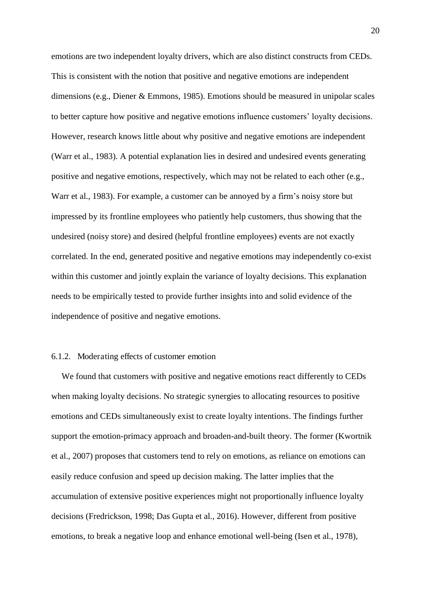emotions are two independent loyalty drivers, which are also distinct constructs from CEDs. This is consistent with the notion that positive and negative emotions are independent dimensions (e.g., Diener & Emmons, 1985). Emotions should be measured in unipolar scales to better capture how positive and negative emotions influence customers' loyalty decisions. However, research knows little about why positive and negative emotions are independent (Warr et al., 1983). A potential explanation lies in desired and undesired events generating positive and negative emotions, respectively, which may not be related to each other (e.g., Warr et al., 1983). For example, a customer can be annoyed by a firm's noisy store but impressed by its frontline employees who patiently help customers, thus showing that the undesired (noisy store) and desired (helpful frontline employees) events are not exactly correlated. In the end, generated positive and negative emotions may independently co-exist within this customer and jointly explain the variance of loyalty decisions. This explanation needs to be empirically tested to provide further insights into and solid evidence of the independence of positive and negative emotions.

# 6.1.2. Moderating effects of customer emotion

We found that customers with positive and negative emotions react differently to CEDs when making loyalty decisions. No strategic synergies to allocating resources to positive emotions and CEDs simultaneously exist to create loyalty intentions. The findings further support the emotion-primacy approach and broaden-and-built theory. The former (Kwortnik et al., 2007) proposes that customers tend to rely on emotions, as reliance on emotions can easily reduce confusion and speed up decision making. The latter implies that the accumulation of extensive positive experiences might not proportionally influence loyalty decisions (Fredrickson, 1998; Das Gupta et al., 2016). However, different from positive emotions, to break a negative loop and enhance emotional well-being (Isen et al., 1978),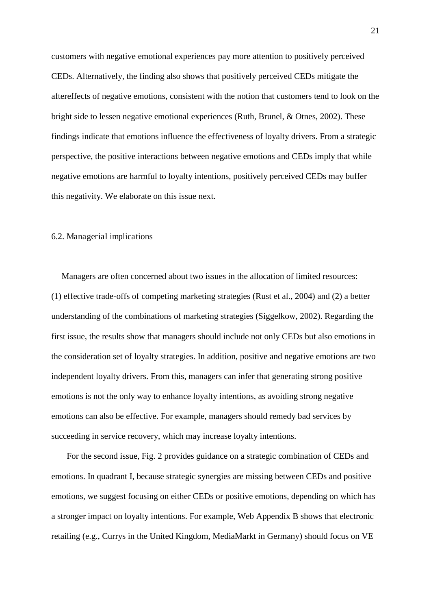customers with negative emotional experiences pay more attention to positively perceived CEDs. Alternatively, the finding also shows that positively perceived CEDs mitigate the aftereffects of negative emotions, consistent with the notion that customers tend to look on the bright side to lessen negative emotional experiences (Ruth, Brunel, & Otnes, 2002). These findings indicate that emotions influence the effectiveness of loyalty drivers. From a strategic perspective, the positive interactions between negative emotions and CEDs imply that while negative emotions are harmful to loyalty intentions, positively perceived CEDs may buffer this negativity. We elaborate on this issue next.

# 6.2. Managerial implications

Managers are often concerned about two issues in the allocation of limited resources: (1) effective trade-offs of competing marketing strategies (Rust et al., 2004) and (2) a better understanding of the combinations of marketing strategies (Siggelkow, 2002). Regarding the first issue, the results show that managers should include not only CEDs but also emotions in the consideration set of loyalty strategies. In addition, positive and negative emotions are two independent loyalty drivers. From this, managers can infer that generating strong positive emotions is not the only way to enhance loyalty intentions, as avoiding strong negative emotions can also be effective. For example, managers should remedy bad services by succeeding in service recovery, which may increase loyalty intentions.

For the second issue, Fig. 2 provides guidance on a strategic combination of CEDs and emotions. In quadrant I, because strategic synergies are missing between CEDs and positive emotions, we suggest focusing on either CEDs or positive emotions, depending on which has a stronger impact on loyalty intentions. For example, Web Appendix B shows that electronic retailing (e.g., Currys in the United Kingdom, MediaMarkt in Germany) should focus on VE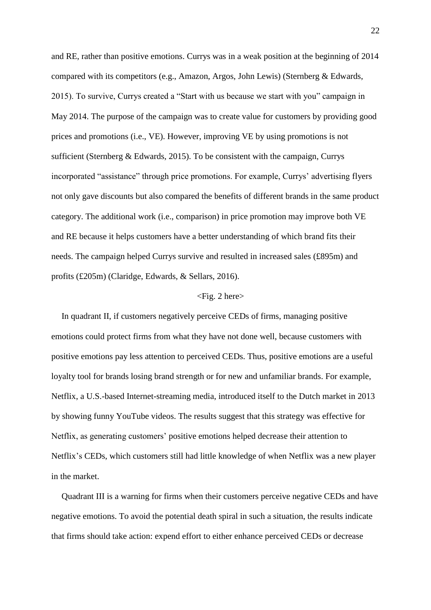and RE, rather than positive emotions. Currys was in a weak position at the beginning of 2014 compared with its competitors (e.g., Amazon, Argos, John Lewis) (Sternberg & Edwards, 2015). To survive, Currys created a "Start with us because we start with you" campaign in May 2014. The purpose of the campaign was to create value for customers by providing good prices and promotions (i.e., VE). However, improving VE by using promotions is not sufficient (Sternberg & Edwards, 2015). To be consistent with the campaign, Currys incorporated "assistance" through price promotions. For example, Currys' advertising flyers not only gave discounts but also compared the benefits of different brands in the same product category. The additional work (i.e., comparison) in price promotion may improve both VE and RE because it helps customers have a better understanding of which brand fits their needs. The campaign helped Currys survive and resulted in increased sales (£895m) and profits (£205m) (Claridge, Edwards, & Sellars, 2016).

#### $\langle$ Fig. 2 here $\rangle$

In quadrant II, if customers negatively perceive CEDs of firms, managing positive emotions could protect firms from what they have not done well, because customers with positive emotions pay less attention to perceived CEDs. Thus, positive emotions are a useful loyalty tool for brands losing brand strength or for new and unfamiliar brands. For example, Netflix, a U.S.-based Internet-streaming media, introduced itself to the Dutch market in 2013 by showing funny YouTube videos. The results suggest that this strategy was effective for Netflix, as generating customers' positive emotions helped decrease their attention to Netflix's CEDs, which customers still had little knowledge of when Netflix was a new player in the market.

Quadrant III is a warning for firms when their customers perceive negative CEDs and have negative emotions. To avoid the potential death spiral in such a situation, the results indicate that firms should take action: expend effort to either enhance perceived CEDs or decrease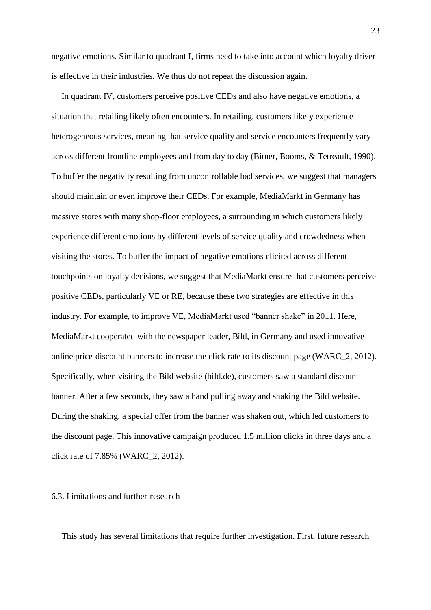negative emotions. Similar to quadrant I, firms need to take into account which loyalty driver is effective in their industries. We thus do not repeat the discussion again.

In quadrant IV, customers perceive positive CEDs and also have negative emotions, a situation that retailing likely often encounters. In retailing, customers likely experience heterogeneous services, meaning that service quality and service encounters frequently vary across different frontline employees and from day to day (Bitner, Booms, & Tetreault, 1990). To buffer the negativity resulting from uncontrollable bad services, we suggest that managers should maintain or even improve their CEDs. For example, MediaMarkt in Germany has massive stores with many shop-floor employees, a surrounding in which customers likely experience different emotions by different levels of service quality and crowdedness when visiting the stores. To buffer the impact of negative emotions elicited across different touchpoints on loyalty decisions, we suggest that MediaMarkt ensure that customers perceive positive CEDs, particularly VE or RE, because these two strategies are effective in this industry. For example, to improve VE, MediaMarkt used "banner shake" in 2011. Here, MediaMarkt cooperated with the newspaper leader, Bild, in Germany and used innovative online price-discount banners to increase the click rate to its discount page (WARC\_2, 2012). Specifically, when visiting the Bild website (bild.de), customers saw a standard discount banner. After a few seconds, they saw a hand pulling away and shaking the Bild website. During the shaking, a special offer from the banner was shaken out, which led customers to the discount page. This innovative campaign produced 1.5 million clicks in three days and a click rate of 7.85% (WARC\_2, 2012).

## 6.3. Limitations and further research

This study has several limitations that require further investigation. First, future research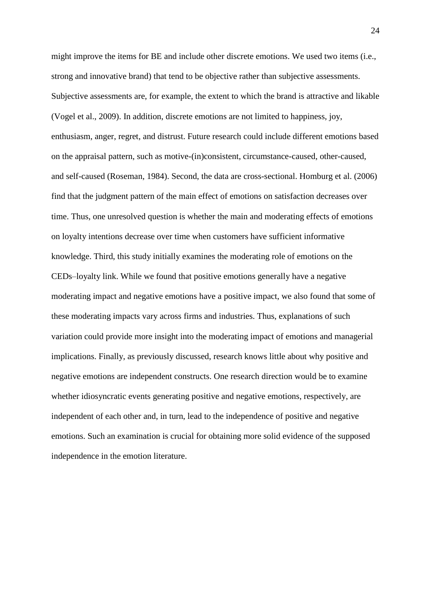might improve the items for BE and include other discrete emotions. We used two items (i.e., strong and innovative brand) that tend to be objective rather than subjective assessments. Subjective assessments are, for example, the extent to which the brand is attractive and likable (Vogel et al., 2009). In addition, discrete emotions are not limited to happiness, joy, enthusiasm, anger, regret, and distrust. Future research could include different emotions based on the appraisal pattern, such as motive-(in)consistent, circumstance-caused, other-caused, and self-caused (Roseman, 1984). Second, the data are cross-sectional. Homburg et al. (2006) find that the judgment pattern of the main effect of emotions on satisfaction decreases over time. Thus, one unresolved question is whether the main and moderating effects of emotions on loyalty intentions decrease over time when customers have sufficient informative knowledge. Third, this study initially examines the moderating role of emotions on the CEDs–loyalty link. While we found that positive emotions generally have a negative moderating impact and negative emotions have a positive impact, we also found that some of these moderating impacts vary across firms and industries. Thus, explanations of such variation could provide more insight into the moderating impact of emotions and managerial implications. Finally, as previously discussed, research knows little about why positive and negative emotions are independent constructs. One research direction would be to examine whether idiosyncratic events generating positive and negative emotions, respectively, are independent of each other and, in turn, lead to the independence of positive and negative emotions. Such an examination is crucial for obtaining more solid evidence of the supposed independence in the emotion literature.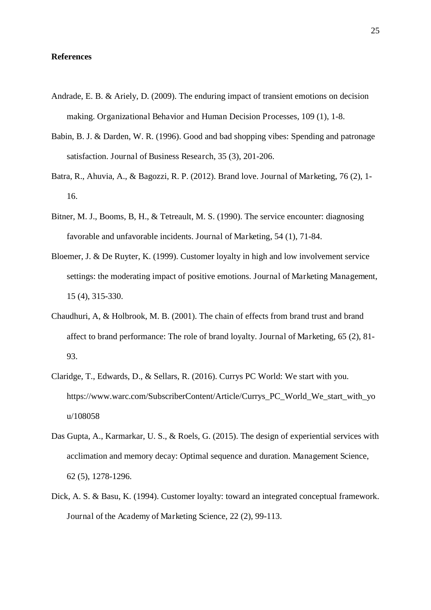# **References**

- Andrade, E. B. & Ariely, D. (2009). The enduring impact of transient emotions on decision making. Organizational Behavior and Human Decision Processes, 109 (1), 1-8.
- Babin, B. J. & Darden, W. R. (1996). Good and bad shopping vibes: Spending and patronage satisfaction. Journal of Business Research, 35 (3), 201-206.
- Batra, R., Ahuvia, A., & Bagozzi, R. P. (2012). Brand love. Journal of Marketing, 76 (2), 1- 16.
- Bitner, M. J., Booms, B, H., & Tetreault, M. S. (1990). The service encounter: diagnosing favorable and unfavorable incidents. Journal of Marketing, 54 (1), 71-84.
- Bloemer, J. & De Ruyter, K. (1999). Customer loyalty in high and low involvement service settings: the moderating impact of positive emotions. Journal of Marketing Management, 15 (4), 315-330.
- Chaudhuri, A, & Holbrook, M. B. (2001). The chain of effects from brand trust and brand affect to brand performance: The role of brand loyalty. Journal of Marketing, 65 (2), 81- 93.
- Claridge, T., Edwards, D., & Sellars, R. (2016). Currys PC World: We start with you. https://www.warc.com/SubscriberContent/Article/Currys\_PC\_World\_We\_start\_with\_yo u/108058
- Das Gupta, A., Karmarkar, U. S., & Roels, G. (2015). The design of experiential services with acclimation and memory decay: Optimal sequence and duration. Management Science, 62 (5), 1278-1296.
- Dick, A. S. & Basu, K. (1994). Customer loyalty: toward an integrated conceptual framework. Journal of the Academy of Marketing Science, 22 (2), 99-113.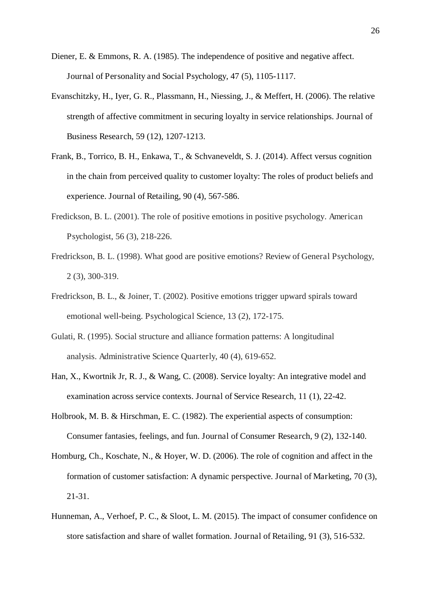- Diener, E. & Emmons, R. A. (1985). The independence of positive and negative affect. Journal of Personality and Social Psychology, 47 (5), 1105-1117.
- Evanschitzky, H., Iyer, G. R., Plassmann, H., Niessing, J., & Meffert, H. (2006). The relative strength of affective commitment in securing loyalty in service relationships. Journal of Business Research, 59 (12), 1207-1213.
- Frank, B., Torrico, B. H., Enkawa, T., & Schvaneveldt, S. J. (2014). Affect versus cognition in the chain from perceived quality to customer loyalty: The roles of product beliefs and experience. Journal of Retailing, 90 (4), 567-586.
- Fredickson, B. L. (2001). The role of positive emotions in positive psychology. American Psychologist, 56 (3), 218-226.
- Fredrickson, B. L. (1998). What good are positive emotions? Review of General Psychology, 2 (3), 300-319.
- Fredrickson, B. L., & Joiner, T. (2002). Positive emotions trigger upward spirals toward emotional well-being. Psychological Science, 13 (2), 172-175.
- Gulati, R. (1995). Social structure and alliance formation patterns: A longitudinal analysis. Administrative Science Quarterly, 40 (4), 619-652.
- Han, X., Kwortnik Jr, R. J., & Wang, C. (2008). Service loyalty: An integrative model and examination across service contexts. Journal of Service Research, 11 (1), 22-42.
- Holbrook, M. B. & Hirschman, E. C. (1982). The experiential aspects of consumption: Consumer fantasies, feelings, and fun. Journal of Consumer Research, 9 (2), 132-140.
- Homburg, Ch., Koschate, N., & Hoyer, W. D. (2006). The role of cognition and affect in the formation of customer satisfaction: A dynamic perspective. Journal of Marketing, 70 (3), 21-31.
- Hunneman, A., Verhoef, P. C., & Sloot, L. M. (2015). The impact of consumer confidence on store satisfaction and share of wallet formation. Journal of Retailing, 91 (3), 516-532.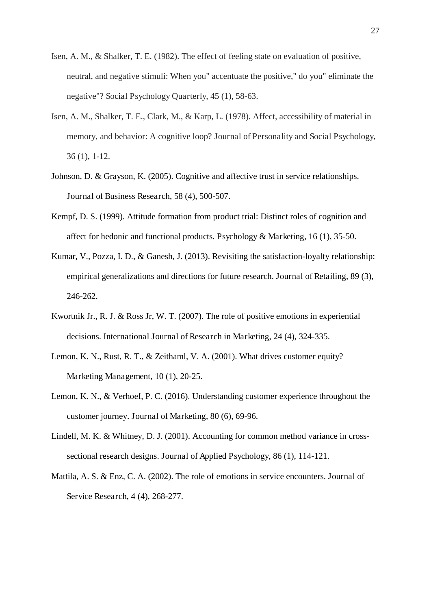- Isen, A. M., & Shalker, T. E. (1982). The effect of feeling state on evaluation of positive, neutral, and negative stimuli: When you" accentuate the positive," do you" eliminate the negative"? Social Psychology Quarterly, 45 (1), 58-63.
- Isen, A. M., Shalker, T. E., Clark, M., & Karp, L. (1978). Affect, accessibility of material in memory, and behavior: A cognitive loop? Journal of Personality and Social Psychology, 36 (1), 1-12.
- Johnson, D. & Grayson, K. (2005). Cognitive and affective trust in service relationships. Journal of Business Research, 58 (4), 500-507.
- Kempf, D. S. (1999). Attitude formation from product trial: Distinct roles of cognition and affect for hedonic and functional products. Psychology & Marketing, 16 (1), 35-50.
- Kumar, V., Pozza, I. D., & Ganesh, J. (2013). Revisiting the satisfaction-loyalty relationship: empirical generalizations and directions for future research. Journal of Retailing, 89 (3), 246-262.
- Kwortnik Jr., R. J. & Ross Jr, W. T. (2007). The role of positive emotions in experiential decisions. International Journal of Research in Marketing, 24 (4), 324-335.
- Lemon, K. N., Rust, R. T., & Zeithaml, V. A. (2001). What drives customer equity? Marketing Management, 10 (1), 20-25.
- Lemon, K. N., & Verhoef, P. C. (2016). Understanding customer experience throughout the customer journey. Journal of Marketing, 80 (6), 69-96.
- Lindell, M. K. & Whitney, D. J. (2001). Accounting for common method variance in crosssectional research designs. Journal of Applied Psychology, 86 (1), 114-121.
- Mattila, A. S. & Enz, C. A. (2002). The role of emotions in service encounters. Journal of Service Research, 4 (4), 268-277.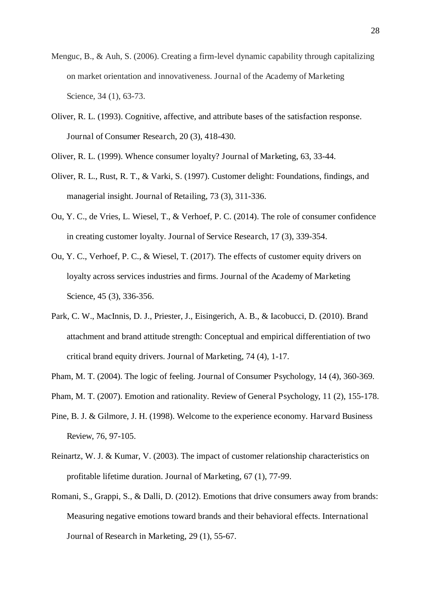- Menguc, B., & Auh, S. (2006). Creating a firm-level dynamic capability through capitalizing on market orientation and innovativeness. Journal of the Academy of Marketing Science, 34 (1), 63-73.
- Oliver, R. L. (1993). Cognitive, affective, and attribute bases of the satisfaction response. Journal of Consumer Research, 20 (3), 418-430.
- Oliver, R. L. (1999). Whence consumer loyalty? Journal of Marketing, 63, 33-44.
- Oliver, R. L., Rust, R. T., & Varki, S. (1997). Customer delight: Foundations, findings, and managerial insight. Journal of Retailing, 73 (3), 311-336.
- Ou, Y. C., de Vries, L. Wiesel, T., & Verhoef, P. C. (2014). The role of consumer confidence in creating customer loyalty. Journal of Service Research, 17 (3), 339-354.
- Ou, Y. C., Verhoef, P. C., & Wiesel, T. (2017). The effects of customer equity drivers on loyalty across services industries and firms. Journal of the Academy of Marketing Science, 45 (3), 336-356.
- Park, C. W., MacInnis, D. J., Priester, J., Eisingerich, A. B., & Iacobucci, D. (2010). Brand attachment and brand attitude strength: Conceptual and empirical differentiation of two critical brand equity drivers. Journal of Marketing, 74 (4), 1-17.
- Pham, M. T. (2004). The logic of feeling. Journal of Consumer Psychology, 14 (4), 360-369.
- Pham, M. T. (2007). Emotion and rationality. Review of General Psychology, 11 (2), 155-178.
- Pine, B. J. & Gilmore, J. H. (1998). Welcome to the experience economy. Harvard Business Review, 76, 97-105.
- Reinartz, W. J. & Kumar, V. (2003). The impact of customer relationship characteristics on profitable lifetime duration. Journal of Marketing, 67 (1), 77-99.
- Romani, S., Grappi, S., & Dalli, D. (2012). Emotions that drive consumers away from brands: Measuring negative emotions toward brands and their behavioral effects. International Journal of Research in Marketing, 29 (1), 55-67.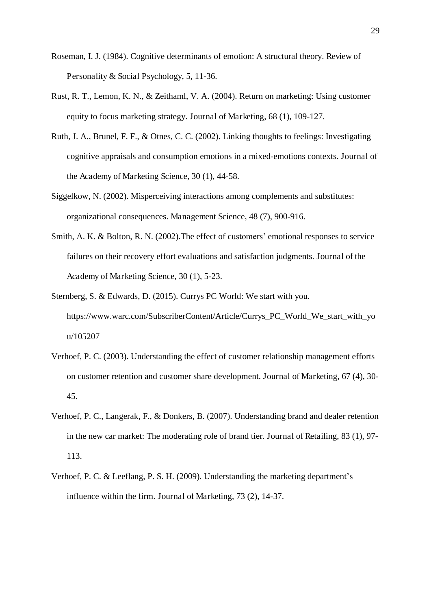- Roseman, I. J. (1984). Cognitive determinants of emotion: A structural theory. Review of Personality & Social Psychology, 5, 11-36.
- Rust, R. T., Lemon, K. N., & Zeithaml, V. A. (2004). Return on marketing: Using customer equity to focus marketing strategy. Journal of Marketing, 68 (1), 109-127.
- Ruth, J. A., Brunel, F. F., & Otnes, C. C. (2002). Linking thoughts to feelings: Investigating cognitive appraisals and consumption emotions in a mixed-emotions contexts. Journal of the Academy of Marketing Science, 30 (1), 44-58.
- Siggelkow, N. (2002). Misperceiving interactions among complements and substitutes: organizational consequences. Management Science, 48 (7), 900-916.
- Smith, A. K. & Bolton, R. N. (2002).The effect of customers' emotional responses to service failures on their recovery effort evaluations and satisfaction judgments. Journal of the Academy of Marketing Science, 30 (1), 5-23.
- Sternberg, S. & Edwards, D. (2015). Currys PC World: We start with you. https://www.warc.com/SubscriberContent/Article/Currys\_PC\_World\_We\_start\_with\_yo u/105207
- Verhoef, P. C. (2003). Understanding the effect of customer relationship management efforts on customer retention and customer share development. Journal of Marketing, 67 (4), 30- 45.
- Verhoef, P. C., Langerak, F., & Donkers, B. (2007). Understanding brand and dealer retention in the new car market: The moderating role of brand tier. Journal of Retailing, 83 (1), 97- 113.
- Verhoef, P. C. & Leeflang, P. S. H. (2009). Understanding the marketing department's influence within the firm. Journal of Marketing, 73 (2), 14-37.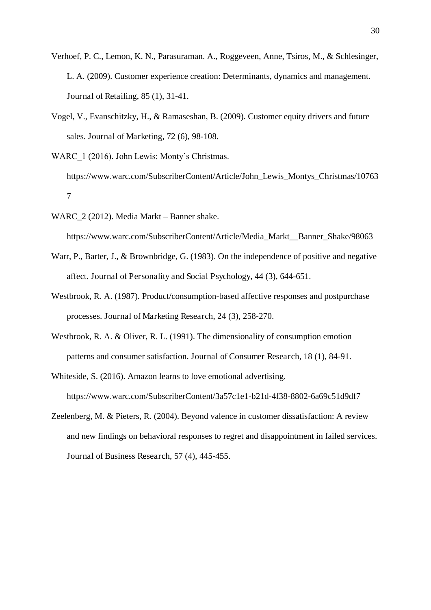- Verhoef, P. C., Lemon, K. N., Parasuraman. A., Roggeveen, Anne, Tsiros, M., & Schlesinger, L. A. (2009). Customer experience creation: Determinants, dynamics and management. Journal of Retailing, 85 (1), 31-41.
- Vogel, V., Evanschitzky, H., & Ramaseshan, B. (2009). Customer equity drivers and future sales. Journal of Marketing, 72 (6), 98-108.
- WARC 1 (2016). John Lewis: Monty's Christmas.
	- https://www.warc.com/SubscriberContent/Article/John\_Lewis\_Montys\_Christmas/10763 7
- WARC 2 (2012). Media Markt Banner shake.

https://www.warc.com/SubscriberContent/Article/Media\_Markt\_\_Banner\_Shake/98063

- Warr, P., Barter, J., & Brownbridge, G. (1983). On the independence of positive and negative affect. Journal of Personality and Social Psychology, 44 (3), 644-651.
- Westbrook, R. A. (1987). Product/consumption-based affective responses and postpurchase processes. Journal of Marketing Research, 24 (3), 258-270.
- Westbrook, R. A. & Oliver, R. L. (1991). The dimensionality of consumption emotion patterns and consumer satisfaction. Journal of Consumer Research, 18 (1), 84-91.
- Whiteside, S. (2016). Amazon learns to love emotional advertising. https://www.warc.com/SubscriberContent/3a57c1e1-b21d-4f38-8802-6a69c51d9df7
- Zeelenberg, M. & Pieters, R. (2004). Beyond valence in customer dissatisfaction: A review and new findings on behavioral responses to regret and disappointment in failed services. Journal of Business Research, 57 (4), 445-455.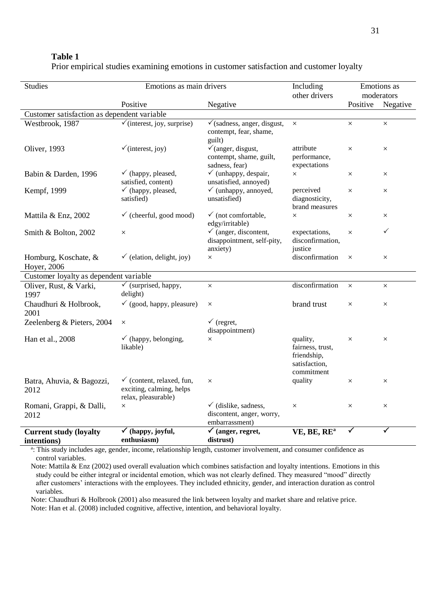| .                                                                                        |  |
|------------------------------------------------------------------------------------------|--|
| Prior empirical studies examining emotions in customer satisfaction and customer loyalty |  |

| <b>Studies</b>                               | Emotions as main drivers                                                                |                                                                                |                                                                            |              | Emotions as<br>moderators |  |  |
|----------------------------------------------|-----------------------------------------------------------------------------------------|--------------------------------------------------------------------------------|----------------------------------------------------------------------------|--------------|---------------------------|--|--|
|                                              | Positive                                                                                | Negative                                                                       |                                                                            | Positive     | Negative                  |  |  |
| Customer satisfaction as dependent variable  |                                                                                         |                                                                                |                                                                            |              |                           |  |  |
| Westbrook, 1987                              | $\checkmark$ (interest, joy, surprise)                                                  | $\checkmark$ (sadness, anger, disgust,<br>contempt, fear, shame,<br>guilt)     | $\times$                                                                   | $\times$     | $\times$                  |  |  |
| <b>Oliver</b> , 1993                         | $\checkmark$ (interest, joy)                                                            | $\checkmark$ (anger, disgust,<br>contempt, shame, guilt,<br>sadness, fear)     | attribute<br>performance,<br>expectations                                  | $\times$     | $\times$                  |  |  |
| Babin & Darden, 1996                         | $\checkmark$ (happy, pleased,<br>satisfied, content)                                    | $\checkmark$ (unhappy, despair,<br>unsatisfied, annoyed)                       | $\times$                                                                   | $\times$     | $\times$                  |  |  |
| Kempf, 1999                                  | $\checkmark$ (happy, pleased,<br>satisfied)                                             | $\checkmark$ (unhappy, annoyed,<br>unsatisfied)                                | perceived<br>diagnosticity,<br>brand measures                              | $\times$     | $\times$                  |  |  |
| Mattila & Enz, 2002                          | $\checkmark$ (cheerful, good mood)                                                      | $\checkmark$ (not comfortable,<br>edgy/irritable)                              | $\times$                                                                   | $\times$     | X                         |  |  |
| Smith & Bolton, 2002                         | $\times$                                                                                |                                                                                | expectations,<br>disconfirmation,<br>justice                               | $\times$     | ✓                         |  |  |
| Homburg, Koschate, &<br>Hoyer, 2006          | $\checkmark$ (elation, delight, joy)                                                    | anxiety)<br>$\times$                                                           | disconfirmation                                                            | $\times$     | $\times$                  |  |  |
| Customer loyalty as dependent variable       |                                                                                         |                                                                                |                                                                            |              |                           |  |  |
| Oliver, Rust, & Varki,<br>1997               | $\checkmark$ (surprised, happy,<br>delight)                                             | $\times$                                                                       | disconfirmation                                                            | $\times$     | $\times$                  |  |  |
| Chaudhuri & Holbrook,<br>2001                | $\checkmark$ (good, happy, pleasure)                                                    | $\times$                                                                       | brand trust                                                                | $\times$     | $\times$                  |  |  |
| Zeelenberg & Pieters, 2004                   | $\times$                                                                                | $\checkmark$ (regret,<br>disappointment)                                       |                                                                            |              |                           |  |  |
| Han et al., 2008                             | $\checkmark$ (happy, belonging,<br>likable)                                             | $\times$                                                                       | quality,<br>fairness, trust,<br>friendship,<br>satisfaction,<br>commitment | $\times$     | $\times$                  |  |  |
| Batra, Ahuvia, & Bagozzi,<br>2012            | $\checkmark$ (content, relaxed, fun,<br>exciting, calming, helps<br>relax, pleasurable) | $\times$                                                                       | quality                                                                    | $\times$     | $\times$                  |  |  |
| Romani, Grappi, & Dalli,<br>2012             | $\times$                                                                                | $\checkmark$ (dislike, sadness,<br>discontent, anger, worry,<br>embarrassment) | $\times$                                                                   | $\times$     | $\times$                  |  |  |
| <b>Current study (loyalty</b><br>intentions) | $\checkmark$ (happy, joyful,<br>enthusiasm)                                             | $\overline{\checkmark}$ (anger, regret,<br>distrust)                           | VE, BE, RE <sup>a</sup>                                                    | $\checkmark$ | ✓                         |  |  |

a : This study includes age, gender, income, relationship length, customer involvement, and consumer confidence as control variables.

Note: Mattila & Enz (2002) used overall evaluation which combines satisfaction and loyalty intentions. Emotions in this study could be either integral or incidental emotion, which was not clearly defined. They measured "mood" directly after customers' interactions with the employees. They included ethnicity, gender, and interaction duration as control variables.

Note: Chaudhuri & Holbrook (2001) also measured the link between loyalty and market share and relative price. Note: Han et al. (2008) included cognitive, affective, intention, and behavioral loyalty.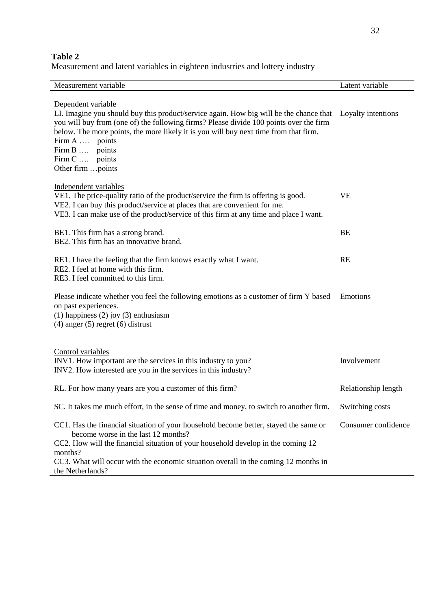# **Table 2**

Measurement and latent variables in eighteen industries and lottery industry

| Measurement variable                                                                                                                                                                                                                                                                                                                                                                          | Latent variable     |
|-----------------------------------------------------------------------------------------------------------------------------------------------------------------------------------------------------------------------------------------------------------------------------------------------------------------------------------------------------------------------------------------------|---------------------|
| Dependent variable<br>LI. Imagine you should buy this product/service again. How big will be the chance that Loyalty intentions<br>you will buy from (one of) the following firms? Please divide 100 points over the firm<br>below. The more points, the more likely it is you will buy next time from that firm.<br>Firm A  points<br>Firm B  points<br>Firm C  points<br>Other firm  points |                     |
| Independent variables<br>VE1. The price-quality ratio of the product/service the firm is offering is good.<br>VE2. I can buy this product/service at places that are convenient for me.<br>VE3. I can make use of the product/service of this firm at any time and place I want.                                                                                                              | VE                  |
| BE1. This firm has a strong brand.<br>BE2. This firm has an innovative brand.                                                                                                                                                                                                                                                                                                                 | BE                  |
| RE1. I have the feeling that the firm knows exactly what I want.<br>RE2. I feel at home with this firm.<br>RE3. I feel committed to this firm.                                                                                                                                                                                                                                                | RE                  |
| Please indicate whether you feel the following emotions as a customer of firm Y based<br>on past experiences.<br>$(1)$ happiness $(2)$ joy $(3)$ enthusiasm<br>$(4)$ anger $(5)$ regret $(6)$ distrust                                                                                                                                                                                        | Emotions            |
| Control variables<br>INV1. How important are the services in this industry to you?<br>INV2. How interested are you in the services in this industry?                                                                                                                                                                                                                                          | Involvement         |
| RL. For how many years are you a customer of this firm?                                                                                                                                                                                                                                                                                                                                       | Relationship length |
| SC. It takes me much effort, in the sense of time and money, to switch to another firm.                                                                                                                                                                                                                                                                                                       | Switching costs     |
| CC1. Has the financial situation of your household become better, stayed the same or<br>become worse in the last 12 months?<br>CC2. How will the financial situation of your household develop in the coming 12<br>months?<br>CC3. What will occur with the economic situation overall in the coming 12 months in<br>the Netherlands?                                                         | Consumer confidence |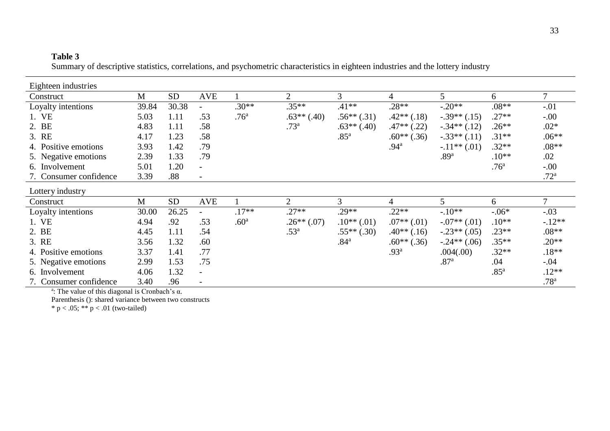# **Table 3**

Summary of descriptive statistics, correlations, and psychometric characteristics in eighteen industries and the lottery industry

| Eighteen industries    |       |           |                          |                  |                  |                  |                  |                  |                  |                  |
|------------------------|-------|-----------|--------------------------|------------------|------------------|------------------|------------------|------------------|------------------|------------------|
| Construct              | M     | <b>SD</b> | <b>AVE</b>               |                  | 2                | 3                | 4                | $5^{\circ}$      | 6                |                  |
| Loyalty intentions     | 39.84 | 30.38     |                          | $.30**$          | $.35**$          | $.41**$          | $.28**$          | $-.20**$         | $.08**$          | $-.01$           |
| 1. VE                  | 5.03  | 1.11      | .53                      | .76 <sup>a</sup> | $.63**(.40)$     | $.56**(.31)$     | $.42**$ $(.18)$  | $-.39**(.15)$    | $.27**$          | $-.00$           |
| 2. BE                  | 4.83  | 1.11      | .58                      |                  | .73 <sup>a</sup> | $.63**(.40)$     | $.47**$ $(.22)$  | $-.34**(.12)$    | $.26**$          | $.02*$           |
| 3. RE                  | 4.17  | 1.23      | .58                      |                  |                  | .85 <sup>a</sup> | $.60**$ (.36)    | $-.33**(.11)$    | $.31**$          | $.06**$          |
| 4. Positive emotions   | 3.93  | 1.42      | .79                      |                  |                  |                  | .94 <sup>a</sup> | $-.11**(.01)$    | $.32**$          | $.08**$          |
| 5. Negative emotions   | 2.39  | 1.33      | .79                      |                  |                  |                  |                  | .89 <sup>a</sup> | $.10**$          | .02              |
| 6. Involvement         | 5.01  | 1.20      | $\overline{\phantom{a}}$ |                  |                  |                  |                  |                  | .76 <sup>a</sup> | $-.00$           |
| 7. Consumer confidence | 3.39  | .88       |                          |                  |                  |                  |                  |                  |                  | .72 <sup>a</sup> |
| Lottery industry       |       |           |                          |                  |                  |                  |                  |                  |                  |                  |
| Construct              | M     | <b>SD</b> | <b>AVE</b>               |                  | 2                | $\mathfrak{Z}$   | 4                | 5                | 6                |                  |
| Loyalty intentions     | 30.00 | 26.25     |                          | $.17**$          | $.27**$          | $.29**$          | $.22**$          | $-.10**$         | $-0.06*$         | $-.03$           |
| 1. VE                  | 4.94  | .92       | .53                      | .60 <sup>a</sup> | $.26**(.07)$     | $.10**$ (.01)    | $.07**$ $(.01)$  | $-.07**$ (.01)   | $.10**$          | $-.12**$         |
| 2. BE                  | 4.45  | 1.11      | .54                      |                  | .53 <sup>a</sup> | $.55**(.30)$     | $.40**$ (.16)    | $-.23**(.05)$    | $.23**$          | $.08**$          |
| 3. RE                  | 3.56  | 1.32      | .60                      |                  |                  | .84 <sup>a</sup> | $.60**$ (.36)    | $-.24**(.06)$    | $.35**$          | $.20**$          |
| 4. Positive emotions   | 3.37  | 1.41      | .77                      |                  |                  |                  | .93 <sup>a</sup> | .004(.00)        | $.32**$          | $.18**$          |
| 5. Negative emotions   | 2.99  | 1.53      | .75                      |                  |                  |                  |                  | .87 <sup>a</sup> | .04              | $-.04$           |
| 6. Involvement         | 4.06  | 1.32      | $\overline{\phantom{a}}$ |                  |                  |                  |                  |                  | .85 <sup>a</sup> | $.12**$          |
| 7. Consumer confidence | 3.40  | .96       |                          |                  |                  |                  |                  |                  |                  | .78 <sup>a</sup> |

<sup>a</sup>: The value of this diagonal is Cronbach's  $\alpha$ .

Parenthesis (): shared variance between two constructs

\*  $p < .05$ ; \*\*  $p < .01$  (two-tailed)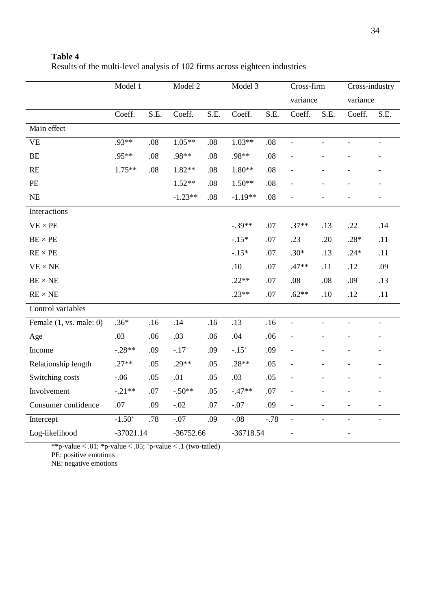|                              | Model 1  |             | Model 2   |             | Model 3   |             | Cross-firm<br>variance   |                     | Cross-industry<br>variance |                |
|------------------------------|----------|-------------|-----------|-------------|-----------|-------------|--------------------------|---------------------|----------------------------|----------------|
|                              |          |             |           |             |           |             |                          |                     |                            |                |
|                              | Coeff.   | S.E.        | Coeff.    | S.E.        | Coeff.    | S.E.        | Coeff.                   | S.E.                | Coeff.                     | S.E.           |
| Main effect                  |          |             |           |             |           |             |                          |                     |                            |                |
| <b>VE</b>                    | $.93**$  | .08         | $1.05**$  | .08         | $1.03**$  | .08         | $\overline{\phantom{a}}$ | $\bar{\phantom{a}}$ | $\overline{\phantom{0}}$   |                |
| BE                           | .95**    | .08         | .98**     | .08         | .98**     | .08         |                          |                     |                            |                |
| RE                           | $1.75**$ | .08         | $1.82**$  | .08         | $1.80**$  | .08         |                          |                     |                            |                |
| <b>PE</b>                    |          |             | $1.52**$  | .08         | $1.50**$  | .08         |                          |                     |                            |                |
| NE                           |          |             | $-1.23**$ | $.08$       | $-1.19**$ | .08         |                          |                     |                            |                |
| Interactions                 |          |             |           |             |           |             |                          |                     |                            |                |
| $VE \times PE$               |          |             |           |             | $-.39**$  | .07         | $.37**$                  | .13                 | .22                        | .14            |
| $\text{BE} \times \text{PE}$ |          |             |           |             | $-.15*$   | .07         | .23                      | .20                 | $.28*$                     | .11            |
| $RE \times PE$               |          |             |           |             | $-.15*$   | .07         | $.30*$                   | .13                 | $.24*$                     | .11            |
| $VE \times NE$               |          |             |           |             | .10       | .07         | $.47**$                  | .11                 | .12                        | .09            |
| $BE \times NE$               |          |             |           |             | $.22**$   | .07         | .08                      | $.08\,$             | .09                        | .13            |
| $RE \times NE$               |          |             |           |             | $.23**$   | .07         | $.62**$                  | .10                 | .12                        | .11            |
| Control variables            |          |             |           |             |           |             |                          |                     |                            |                |
| Female $(1, vs. male: 0)$    | $.36*$   | .16         | .14       | .16         | .13       | .16         | $\Box$                   | $\bar{\phantom{a}}$ | $\overline{a}$             | $\overline{a}$ |
| Age                          | .03      | .06         | .03       | .06         | .04       | .06         |                          |                     |                            |                |
| Income                       | $-.28**$ | .09         | $-.17+$   | .09         | $-.15+$   | .09         | $\overline{\phantom{a}}$ |                     |                            |                |
| Relationship length          | $.27**$  | .05         | $.29**$   | .05         | $.28**$   | .05         |                          |                     |                            |                |
| Switching costs              | $-.06$   | .05         | .01       | .05         | .03       | .05         |                          |                     |                            |                |
| Involvement                  | $-.21**$ | .07         | $-.50**$  | .05         | $-.47**$  | .07         |                          |                     |                            |                |
| Consumer confidence          | .07      | .09         | $-.02$    | .07         | $-.07$    | .09         |                          |                     |                            |                |
| Intercept                    | $-1.50+$ | .78         | $-.07$    | .09         | $-.08$    | $-78$       | $\overline{\phantom{a}}$ | $\overline{a}$      | $\frac{1}{2}$              | $\overline{a}$ |
| Log-likelihood               |          | $-37021.14$ |           | $-36752.66$ |           | $-36718.54$ |                          |                     | $\overline{\phantom{0}}$   |                |

# **Table 4**  Results of the multi-level analysis of 102 firms across eighteen industries

\*\*p-value  $< .01$ ; \*p-value  $< .05$ ; \*p-value  $< .1$  (two-tailed)

PE: positive emotions

NE: negative emotions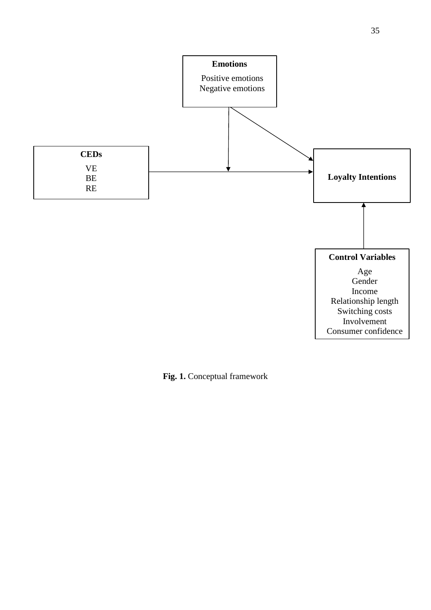

**Fig. 1.** Conceptual framework